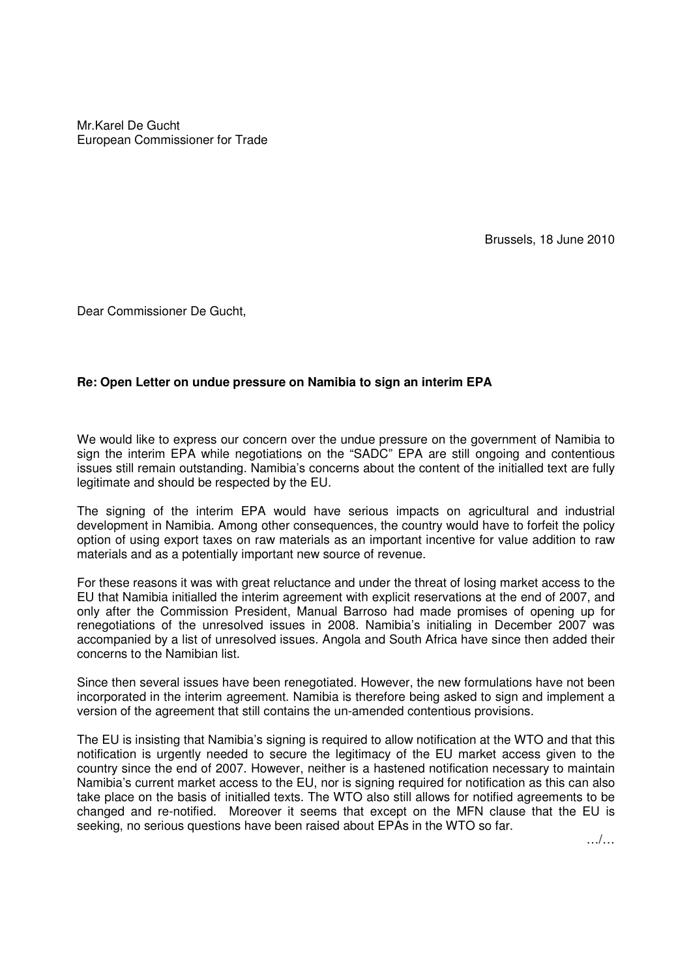Mr.Karel De Gucht European Commissioner for Trade

Brussels, 18 June 2010

Dear Commissioner De Gucht,

## **Re: Open Letter on undue pressure on Namibia to sign an interim EPA**

We would like to express our concern over the undue pressure on the government of Namibia to sign the interim EPA while negotiations on the "SADC" EPA are still ongoing and contentious issues still remain outstanding. Namibia's concerns about the content of the initialled text are fully legitimate and should be respected by the EU.

The signing of the interim EPA would have serious impacts on agricultural and industrial development in Namibia. Among other consequences, the country would have to forfeit the policy option of using export taxes on raw materials as an important incentive for value addition to raw materials and as a potentially important new source of revenue.

For these reasons it was with great reluctance and under the threat of losing market access to the EU that Namibia initialled the interim agreement with explicit reservations at the end of 2007, and only after the Commission President, Manual Barroso had made promises of opening up for renegotiations of the unresolved issues in 2008. Namibia's initialing in December 2007 was accompanied by a list of unresolved issues. Angola and South Africa have since then added their concerns to the Namibian list.

Since then several issues have been renegotiated. However, the new formulations have not been incorporated in the interim agreement. Namibia is therefore being asked to sign and implement a version of the agreement that still contains the un-amended contentious provisions.

The EU is insisting that Namibia's signing is required to allow notification at the WTO and that this notification is urgently needed to secure the legitimacy of the EU market access given to the country since the end of 2007. However, neither is a hastened notification necessary to maintain Namibia's current market access to the EU, nor is signing required for notification as this can also take place on the basis of initialled texts. The WTO also still allows for notified agreements to be changed and re-notified. Moreover it seems that except on the MFN clause that the EU is seeking, no serious questions have been raised about EPAs in the WTO so far.

…/…